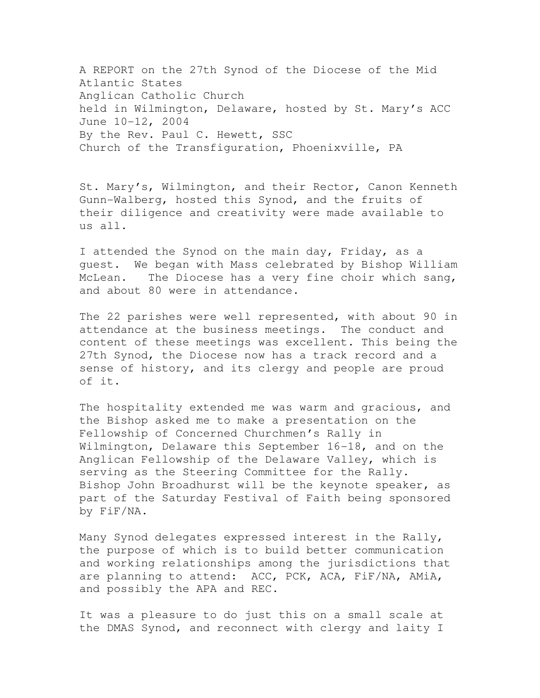A REPORT on the 27th Synod of the Diocese of the Mid Atlantic States Anglican Catholic Church held in Wilmington, Delaware, hosted by St. Mary's ACC June 10-12, 2004 By the Rev. Paul C. Hewett, SSC Church of the Transfiguration, Phoenixville, PA

St. Mary's, Wilmington, and their Rector, Canon Kenneth Gunn-Walberg, hosted this Synod, and the fruits of their diligence and creativity were made available to  $\overline{u}$ s all.

I attended the Synod on the main day, Friday, as a guest. We began with Mass celebrated by Bishop William McLean. The Diocese has a very fine choir which sang, and about 80 were in attendance.

The 22 parishes were well represented, with about 90 in attendance at the business meetings. The conduct and content of these meetings was excellent. This being the 27th Synod, the Diocese now has a track record and a sense of history, and its clergy and people are proud of it.

The hospitality extended me was warm and gracious, and the Bishop asked me to make a presentation on the Fellowship of Concerned Churchmen's Rally in Wilmington, Delaware this September 16-18, and on the Anglican Fellowship of the Delaware Valley, which is serving as the Steering Committee for the Rally. Bishop John Broadhurst will be the keynote speaker, as part of the Saturday Festival of Faith being sponsored by FiF/NA.

Many Synod delegates expressed interest in the Rally, the purpose of which is to build better communication and working relationships among the jurisdictions that are planning to attend: ACC, PCK, ACA, FiF/NA, AMiA, and possibly the APA and REC.

It was a pleasure to do just this on a small scale at the DMAS Synod, and reconnect with clergy and laity I